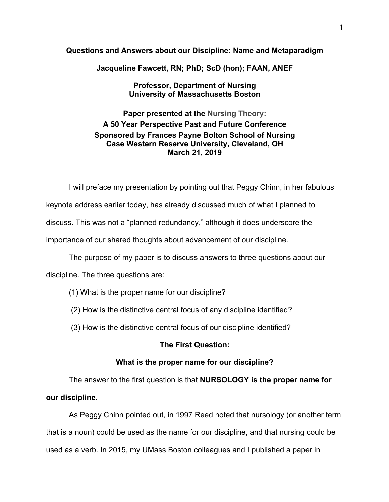### **Questions and Answers about our Discipline: Name and Metaparadigm**

**Jacqueline Fawcett, RN; PhD; ScD (hon); FAAN, ANEF**

**Professor, Department of Nursing University of Massachusetts Boston**

**Paper presented at the Nursing Theory: A 50 Year Perspective Past and Future Conference Sponsored by Frances Payne Bolton School of Nursing Case Western Reserve University, Cleveland, OH March 21, 2019**

I will preface my presentation by pointing out that Peggy Chinn, in her fabulous keynote address earlier today, has already discussed much of what I planned to discuss. This was not a "planned redundancy," although it does underscore the importance of our shared thoughts about advancement of our discipline.

The purpose of my paper is to discuss answers to three questions about our discipline. The three questions are:

- (1) What is the proper name for our discipline?
- (2) How is the distinctive central focus of any discipline identified?
- (3) How is the distinctive central focus of our discipline identified?

# **The First Question:**

# **What is the proper name for our discipline?**

The answer to the first question is that **NURSOLOGY is the proper name for our discipline.** 

As Peggy Chinn pointed out, in 1997 Reed noted that nursology (or another term that is a noun) could be used as the name for our discipline, and that nursing could be used as a verb. In 2015, my UMass Boston colleagues and I published a paper in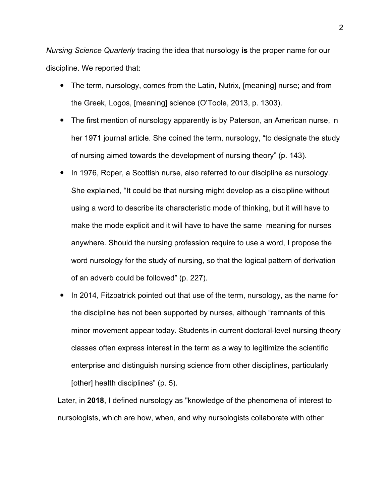*Nursing Science Quarterly* tracing the idea that nursology **is** the proper name for our discipline. We reported that:

- The term, nursology, comes from the Latin, Nutrix, [meaning] nurse; and from the Greek, Logos, [meaning] science (O'Toole, 2013, p. 1303).
- The first mention of nursology apparently is by Paterson, an American nurse, in her 1971 journal article. She coined the term, nursology, "to designate the study of nursing aimed towards the development of nursing theory" (p. 143).
- In 1976, Roper, a Scottish nurse, also referred to our discipline as nursology. She explained, "It could be that nursing might develop as a discipline without using a word to describe its characteristic mode of thinking, but it will have to make the mode explicit and it will have to have the same meaning for nurses anywhere. Should the nursing profession require to use a word, I propose the word nursology for the study of nursing, so that the logical pattern of derivation of an adverb could be followed" (p. 227).
- In 2014, Fitzpatrick pointed out that use of the term, nursology, as the name for the discipline has not been supported by nurses, although "remnants of this minor movement appear today. Students in current doctoral-level nursing theory classes often express interest in the term as a way to legitimize the scientific enterprise and distinguish nursing science from other disciplines, particularly [other] health disciplines" (p. 5).

Later, in **2018**, I defined nursology as "knowledge of the phenomena of interest to nursologists, which are how, when, and why nursologists collaborate with other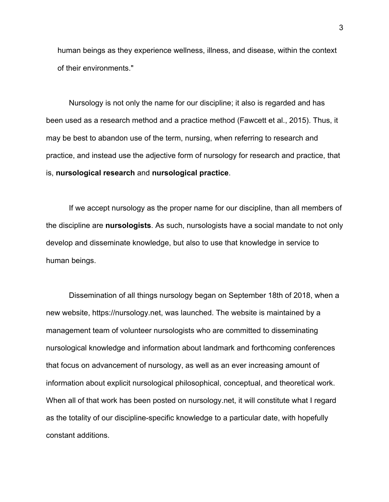human beings as they experience wellness, illness, and disease, within the context of their environments."

Nursology is not only the name for our discipline; it also is regarded and has been used as a research method and a practice method (Fawcett et al., 2015). Thus, it may be best to abandon use of the term, nursing, when referring to research and practice, and instead use the adjective form of nursology for research and practice, that is, **nursological research** and **nursological practice**.

If we accept nursology as the proper name for our discipline, than all members of the discipline are **nursologists**. As such, nursologists have a social mandate to not only develop and disseminate knowledge, but also to use that knowledge in service to human beings.

Dissemination of all things nursology began on September 18th of 2018, when a new website, https://nursology.net, was launched. The website is maintained by a management team of volunteer nursologists who are committed to disseminating nursological knowledge and information about landmark and forthcoming conferences that focus on advancement of nursology, as well as an ever increasing amount of information about explicit nursological philosophical, conceptual, and theoretical work. When all of that work has been posted on nursology.net, it will constitute what I regard as the totality of our discipline-specific knowledge to a particular date, with hopefully constant additions.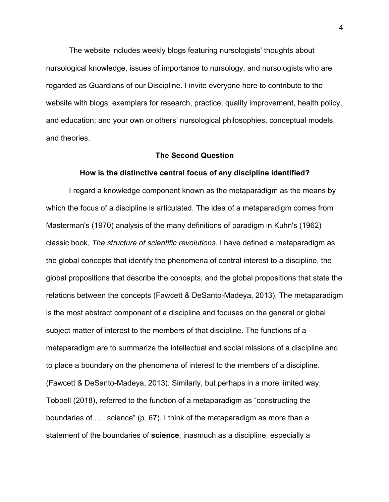The website includes weekly blogs featuring nursologists' thoughts about nursological knowledge, issues of importance to nursology, and nursologists who are regarded as Guardians of our Discipline. I invite everyone here to contribute to the website with blogs; exemplars for research, practice, quality improvement, health policy, and education; and your own or others' nursological philosophies, conceptual models, and theories.

### **The Second Question**

### **How is the distinctive central focus of any discipline identified?**

I regard a knowledge component known as the metaparadigm as the means by which the focus of a discipline is articulated. The idea of a metaparadigm comes from Masterman's (1970) analysis of the many definitions of paradigm in Kuhn's (1962) classic book, *The structure of scientific revolutions*. I have defined a metaparadigm as the global concepts that identify the phenomena of central interest to a discipline, the global propositions that describe the concepts, and the global propositions that state the relations between the concepts (Fawcett & DeSanto-Madeya, 2013). The metaparadigm is the most abstract component of a discipline and focuses on the general or global subject matter of interest to the members of that discipline. The functions of a metaparadigm are to summarize the intellectual and social missions of a discipline and to place a boundary on the phenomena of interest to the members of a discipline. (Fawcett & DeSanto-Madeya, 2013). Similarly, but perhaps in a more limited way, Tobbell (2018), referred to the function of a metaparadigm as "constructing the boundaries of . . . science" (p. 67). I think of the metaparadigm as more than a statement of the boundaries of **science**, inasmuch as a discipline, especially a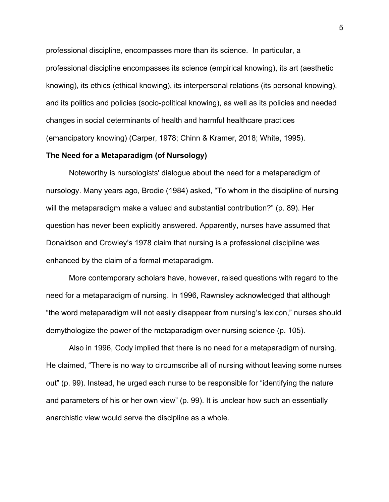professional discipline, encompasses more than its science. In particular, a professional discipline encompasses its science (empirical knowing), its art (aesthetic knowing), its ethics (ethical knowing), its interpersonal relations (its personal knowing), and its politics and policies (socio-political knowing), as well as its policies and needed changes in social determinants of health and harmful healthcare practices (emancipatory knowing) (Carper, 1978; Chinn & Kramer, 2018; White, 1995).

### **The Need for a Metaparadigm (of Nursology)**

Noteworthy is nursologists' dialogue about the need for a metaparadigm of nursology. Many years ago, Brodie (1984) asked, "To whom in the discipline of nursing will the metaparadigm make a valued and substantial contribution?" (p. 89). Her question has never been explicitly answered. Apparently, nurses have assumed that Donaldson and Crowley's 1978 claim that nursing is a professional discipline was enhanced by the claim of a formal metaparadigm.

More contemporary scholars have, however, raised questions with regard to the need for a metaparadigm of nursing. In 1996, Rawnsley acknowledged that although "the word metaparadigm will not easily disappear from nursing's lexicon," nurses should demythologize the power of the metaparadigm over nursing science (p. 105).

Also in 1996, Cody implied that there is no need for a metaparadigm of nursing. He claimed, "There is no way to circumscribe all of nursing without leaving some nurses out" (p. 99). Instead, he urged each nurse to be responsible for "identifying the nature and parameters of his or her own view" (p. 99). It is unclear how such an essentially anarchistic view would serve the discipline as a whole.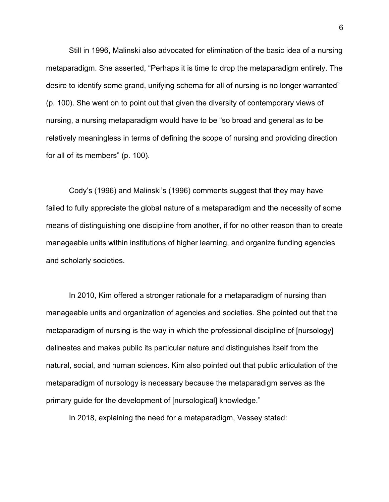Still in 1996, Malinski also advocated for elimination of the basic idea of a nursing metaparadigm. She asserted, "Perhaps it is time to drop the metaparadigm entirely. The desire to identify some grand, unifying schema for all of nursing is no longer warranted" (p. 100). She went on to point out that given the diversity of contemporary views of nursing, a nursing metaparadigm would have to be "so broad and general as to be relatively meaningless in terms of defining the scope of nursing and providing direction for all of its members" (p. 100).

Cody's (1996) and Malinski's (1996) comments suggest that they may have failed to fully appreciate the global nature of a metaparadigm and the necessity of some means of distinguishing one discipline from another, if for no other reason than to create manageable units within institutions of higher learning, and organize funding agencies and scholarly societies.

In 2010, Kim offered a stronger rationale for a metaparadigm of nursing than manageable units and organization of agencies and societies. She pointed out that the metaparadigm of nursing is the way in which the professional discipline of [nursology] delineates and makes public its particular nature and distinguishes itself from the natural, social, and human sciences. Kim also pointed out that public articulation of the metaparadigm of nursology is necessary because the metaparadigm serves as the primary guide for the development of [nursological] knowledge."

In 2018, explaining the need for a metaparadigm, Vessey stated:

6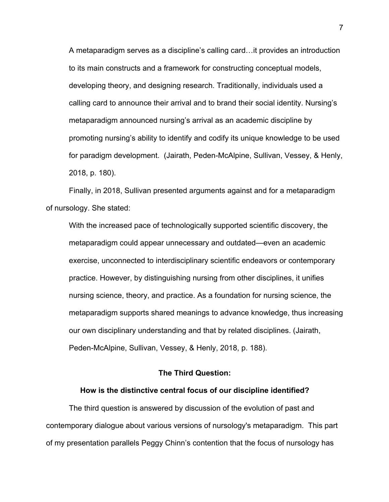A metaparadigm serves as a discipline's calling card…it provides an introduction to its main constructs and a framework for constructing conceptual models, developing theory, and designing research. Traditionally, individuals used a calling card to announce their arrival and to brand their social identity. Nursing's metaparadigm announced nursing's arrival as an academic discipline by promoting nursing's ability to identify and codify its unique knowledge to be used for paradigm development. (Jairath, Peden-McAlpine, Sullivan, Vessey, & Henly, 2018, p. 180).

Finally, in 2018, Sullivan presented arguments against and for a metaparadigm of nursology. She stated:

With the increased pace of technologically supported scientific discovery, the metaparadigm could appear unnecessary and outdated—even an academic exercise, unconnected to interdisciplinary scientific endeavors or contemporary practice. However, by distinguishing nursing from other disciplines, it unifies nursing science, theory, and practice. As a foundation for nursing science, the metaparadigm supports shared meanings to advance knowledge, thus increasing our own disciplinary understanding and that by related disciplines. (Jairath, Peden-McAlpine, Sullivan, Vessey, & Henly, 2018, p. 188).

# **The Third Question:**

### **How is the distinctive central focus of our discipline identified?**

The third question is answered by discussion of the evolution of past and contemporary dialogue about various versions of nursology's metaparadigm. This part of my presentation parallels Peggy Chinn's contention that the focus of nursology has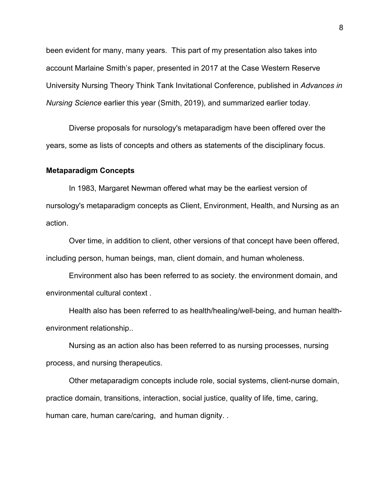been evident for many, many years. This part of my presentation also takes into account Marlaine Smith's paper, presented in 2017 at the Case Western Reserve University Nursing Theory Think Tank Invitational Conference, published in *Advances in Nursing Science* earlier this year (Smith, 2019), and summarized earlier today.

Diverse proposals for nursology's metaparadigm have been offered over the years, some as lists of concepts and others as statements of the disciplinary focus.

### **Metaparadigm Concepts**

In 1983, Margaret Newman offered what may be the earliest version of nursology's metaparadigm concepts as Client, Environment, Health, and Nursing as an action.

Over time, in addition to client, other versions of that concept have been offered, including person, human beings, man, client domain, and human wholeness.

Environment also has been referred to as society. the environment domain, and environmental cultural context .

Health also has been referred to as health/healing/well-being, and human healthenvironment relationship..

Nursing as an action also has been referred to as nursing processes, nursing process, and nursing therapeutics.

Other metaparadigm concepts include role, social systems, client-nurse domain, practice domain, transitions, interaction, social justice, quality of life, time, caring, human care, human care/caring, and human dignity. .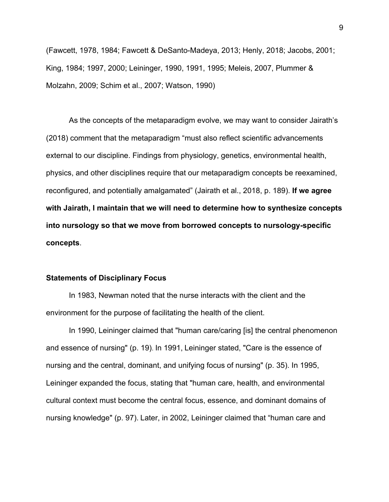(Fawcett, 1978, 1984; Fawcett & DeSanto-Madeya, 2013; Henly, 2018; Jacobs, 2001; King, 1984; 1997, 2000; Leininger, 1990, 1991, 1995; Meleis, 2007, Plummer & Molzahn, 2009; Schim et al., 2007; Watson, 1990)

As the concepts of the metaparadigm evolve, we may want to consider Jairath's (2018) comment that the metaparadigm "must also reflect scientific advancements external to our discipline. Findings from physiology, genetics, environmental health, physics, and other disciplines require that our metaparadigm concepts be reexamined, reconfigured, and potentially amalgamated" (Jairath et al., 2018, p. 189). **If we agree with Jairath, I maintain that we will need to determine how to synthesize concepts into nursology so that we move from borrowed concepts to nursology-specific concepts**.

### **Statements of Disciplinary Focus**

In 1983, Newman noted that the nurse interacts with the client and the environment for the purpose of facilitating the health of the client.

In 1990, Leininger claimed that "human care/caring [is] the central phenomenon and essence of nursing" (p. 19). In 1991, Leininger stated, "Care is the essence of nursing and the central, dominant, and unifying focus of nursing" (p. 35). In 1995, Leininger expanded the focus, stating that "human care, health, and environmental cultural context must become the central focus, essence, and dominant domains of nursing knowledge" (p. 97). Later, in 2002, Leininger claimed that "human care and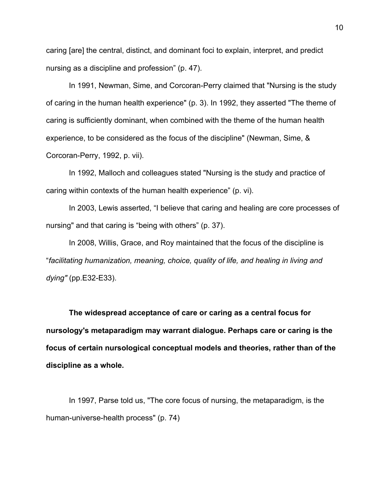caring [are] the central, distinct, and dominant foci to explain, interpret, and predict nursing as a discipline and profession" (p. 47).

In 1991, Newman, Sime, and Corcoran-Perry claimed that "Nursing is the study of caring in the human health experience" (p. 3). In 1992, they asserted "The theme of caring is sufficiently dominant, when combined with the theme of the human health experience, to be considered as the focus of the discipline" (Newman, Sime, & Corcoran-Perry, 1992, p. vii).

In 1992, Malloch and colleagues stated "Nursing is the study and practice of caring within contexts of the human health experience" (p. vi).

In 2003, Lewis asserted, "I believe that caring and healing are core processes of nursing" and that caring is "being with others" (p. 37).

In 2008, Willis, Grace, and Roy maintained that the focus of the discipline is "*facilitating humanization, meaning, choice, quality of life, and healing in living and dying"* (pp.E32-E33).

**The widespread acceptance of care or caring as a central focus for nursology's metaparadigm may warrant dialogue. Perhaps care or caring is the focus of certain nursological conceptual models and theories, rather than of the discipline as a whole.** 

In 1997, Parse told us, "The core focus of nursing, the metaparadigm, is the human-universe-health process" (p. 74)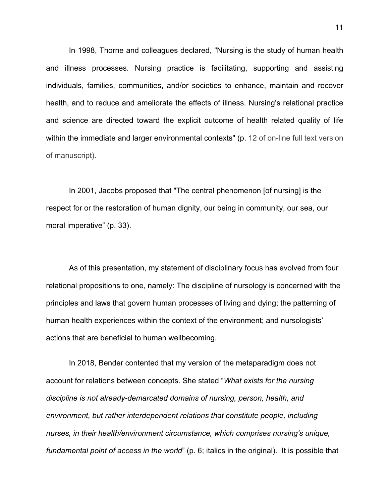In 1998, Thorne and colleagues declared, "Nursing is the study of human health and illness processes. Nursing practice is facilitating, supporting and assisting individuals, families, communities, and/or societies to enhance, maintain and recover health, and to reduce and ameliorate the effects of illness. Nursing's relational practice and science are directed toward the explicit outcome of health related quality of life within the immediate and larger environmental contexts" (p. 12 of on-line full text version of manuscript).

In 2001, Jacobs proposed that "The central phenomenon [of nursing] is the respect for or the restoration of human dignity, our being in community, our sea, our moral imperative" (p. 33).

As of this presentation, my statement of disciplinary focus has evolved from four relational propositions to one, namely: The discipline of nursology is concerned with the principles and laws that govern human processes of living and dying; the patterning of human health experiences within the context of the environment; and nursologists' actions that are beneficial to human wellbecoming.

In 2018, Bender contented that my version of the metaparadigm does not account for relations between concepts. She stated "*What exists for the nursing discipline is not already-demarcated domains of nursing, person, health, and environment, but rather interdependent relations that constitute people, including nurses, in their health/environment circumstance, which comprises nursing's unique, fundamental point of access in the world*" (p. 6; italics in the original). It is possible that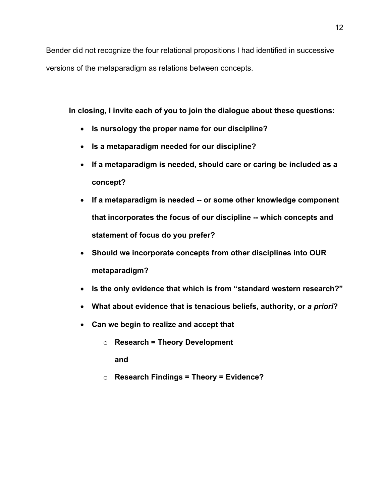Bender did not recognize the four relational propositions I had identified in successive versions of the metaparadigm as relations between concepts.

**In closing, I invite each of you to join the dialogue about these questions:**

- **Is nursology the proper name for our discipline?**
- **Is a metaparadigm needed for our discipline?**
- **If a metaparadigm is needed, should care or caring be included as a concept?**
- **If a metaparadigm is needed -- or some other knowledge component that incorporates the focus of our discipline -- which concepts and statement of focus do you prefer?**
- **Should we incorporate concepts from other disciplines into OUR metaparadigm?**
- **Is the only evidence that which is from "standard western research?"**
- What about evidence that is tenacious beliefs, authority, or a priori?
- **Can we begin to realize and accept that** 
	- o **Research = Theory Development**

**and** 

o **Research Findings = Theory = Evidence?**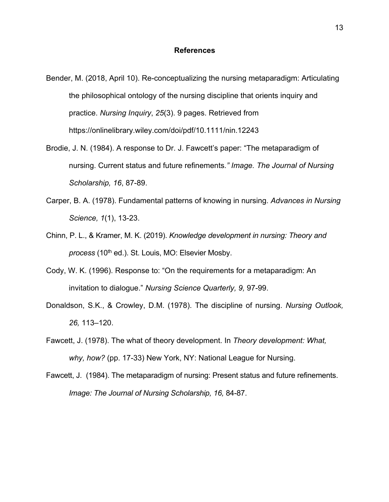#### **References**

- Bender, M. (2018, April 10). Re-conceptualizing the nursing metaparadigm: Articulating the philosophical ontology of the nursing discipline that orients inquiry and practice. *Nursing Inquiry*, *25*(3). 9 pages. Retrieved from https://onlinelibrary.wiley.com/doi/pdf/10.1111/nin.12243
- Brodie, J. N. (1984). A response to Dr. J. Fawcett's paper: "The metaparadigm of nursing. Current status and future refinements*." Image. The Journal of Nursing Scholarship, 16*, 87-89.
- Carper, B. A. (1978). Fundamental patterns of knowing in nursing. *Advances in Nursing Science, 1*(1), 13-23.
- Chinn, P. L., & Kramer, M. K. (2019). *Knowledge development in nursing: Theory and*  process (10<sup>th</sup> ed.). St. Louis, MO: Elsevier Mosby.
- Cody, W. K. (1996). Response to: "On the requirements for a metaparadigm: An invitation to dialogue." *Nursing Science Quarterly, 9,* 97-99.
- Donaldson, S.K., & Crowley, D.M. (1978). The discipline of nursing. *Nursing Outlook, 26,* 113–120.
- Fawcett, J. (1978). The what of theory development. In *Theory development: What, why, how?* (pp. 17-33) New York, NY: National League for Nursing.
- Fawcett, J. (1984). The metaparadigm of nursing: Present status and future refinements. *Image: The Journal of Nursing Scholarship, 16,* 84-87.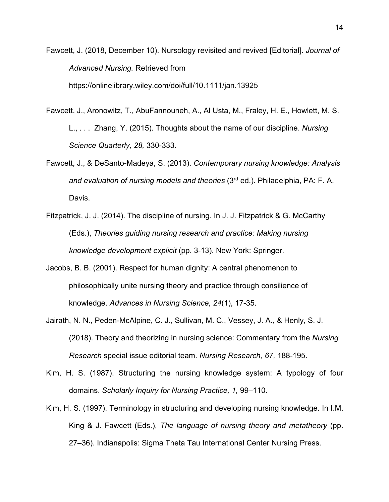Fawcett, J. (2018, December 10). Nursology revisited and revived [Editorial]. *Journal of Advanced Nursing.* Retrieved from https://onlinelibrary.wiley.com/doi/full/10.1111/jan.13925

- Fawcett, J., Aronowitz, T., AbuFannouneh, A., Al Usta, M., Fraley, H. E., Howlett, M. S. L., . . . Zhang, Y. (2015). Thoughts about the name of our discipline. *Nursing Science Quarterly, 28,* 330-333.
- Fawcett, J., & DeSanto-Madeya, S. (2013). *Contemporary nursing knowledge: Analysis and evaluation of nursing models and theories* (3rd ed.). Philadelphia, PA: F. A. Davis.
- Fitzpatrick, J. J. (2014). The discipline of nursing. In J. J. Fitzpatrick & G. McCarthy (Eds.), *Theories guiding nursing research and practice: Making nursing knowledge development explicit* (pp. 3-13). New York: Springer.
- Jacobs, B. B. (2001). Respect for human dignity: A central phenomenon to philosophically unite nursing theory and practice through consilience of knowledge. *Advances in Nursing Science, 24*(1), 17-35.
- Jairath, N. N., Peden-McAlpine, C. J., Sullivan, M. C., Vessey, J. A., & Henly, S. J. (2018). Theory and theorizing in nursing science: Commentary from the *Nursing Research* special issue editorial team. *Nursing Research, 67,* 188-195.
- Kim, H. S. (1987). Structuring the nursing knowledge system: A typology of four domains. *Scholarly Inquiry for Nursing Practice, 1,* 99–110.
- Kim, H. S. (1997). Terminology in structuring and developing nursing knowledge. In I.M. King & J. Fawcett (Eds.), *The language of nursing theory and metatheory* (pp. 27–36). Indianapolis: Sigma Theta Tau International Center Nursing Press.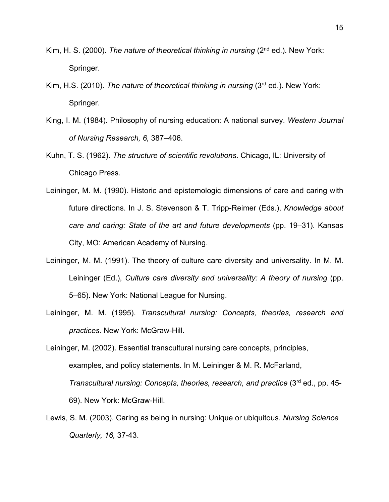- Kim, H. S. (2000). *The nature of theoretical thinking in nursing* (2nd ed.). New York: Springer.
- Kim, H.S. (2010). *The nature of theoretical thinking in nursing* (3rd ed.). New York: Springer.
- King, I. M. (1984). Philosophy of nursing education: A national survey. *Western Journal of Nursing Research, 6,* 387–406.
- Kuhn, T. S. (1962). *The structure of scientific revolutions*. Chicago, IL: University of Chicago Press.
- Leininger, M. M. (1990). Historic and epistemologic dimensions of care and caring with future directions. In J. S. Stevenson & T. Tripp-Reimer (Eds.), *Knowledge about care and caring: State of the art and future developments* (pp. 19–31). Kansas City, MO: American Academy of Nursing.
- Leininger, M. M. (1991). The theory of culture care diversity and universality. In M. M. Leininger (Ed.), *Culture care diversity and universality: A theory of nursing* (pp. 5–65). New York: National League for Nursing.
- Leininger, M. M. (1995). *Transcultural nursing: Concepts, theories, research and practices.* New York: McGraw-Hill.

Leininger, M. (2002). Essential transcultural nursing care concepts, principles, examples, and policy statements. In M. Leininger & M. R. McFarland, *Transcultural nursing: Concepts, theories, research, and practice* (3rd ed., pp. 45- 69). New York: McGraw-Hill.

Lewis, S. M. (2003). Caring as being in nursing: Unique or ubiquitous. *Nursing Science Quarterly, 16,* 37-43.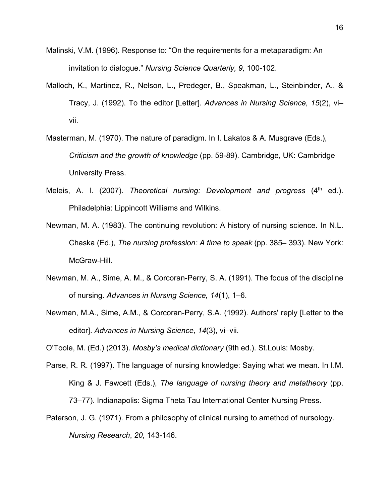- Malinski, V.M. (1996). Response to: "On the requirements for a metaparadigm: An invitation to dialogue." *Nursing Science Quarterly, 9,* 100-102.
- Malloch, K., Martinez, R., Nelson, L., Predeger, B., Speakman, L., Steinbinder, A., & Tracy, J. (1992). To the editor [Letter]. *Advances in Nursing Science, 15*(2), vi– vii.
- Masterman, M. (1970). The nature of paradigm. In I. Lakatos & A. Musgrave (Eds.), *Criticism and the growth of knowledge* (pp. 59-89). Cambridge, UK: Cambridge University Press.
- Meleis, A. I. (2007). *Theoretical nursing: Development and progress* (4<sup>th</sup> ed.). Philadelphia: Lippincott Williams and Wilkins.
- Newman, M. A. (1983). The continuing revolution: A history of nursing science. In N.L. Chaska (Ed.), *The nursing profession: A time to speak* (pp. 385– 393). New York: McGraw-Hill.
- Newman, M. A., Sime, A. M., & Corcoran-Perry, S. A. (1991). The focus of the discipline of nursing. *Advances in Nursing Science, 14*(1), 1–6.
- Newman, M.A., Sime, A.M., & Corcoran-Perry, S.A. (1992). Authors' reply [Letter to the editor]. *Advances in Nursing Science, 14*(3), vi–vii.

O'Toole, M. (Ed.) (2013). *Mosby's medical dictionary* (9th ed.). St.Louis: Mosby.

- Parse, R. R. (1997). The language of nursing knowledge: Saying what we mean. In I.M. King & J. Fawcett (Eds.), *The language of nursing theory and metatheory* (pp. 73–77). Indianapolis: Sigma Theta Tau International Center Nursing Press.
- Paterson, J. G. (1971). From a philosophy of clinical nursing to amethod of nursology. *Nursing Research*, *20*, 143-146.